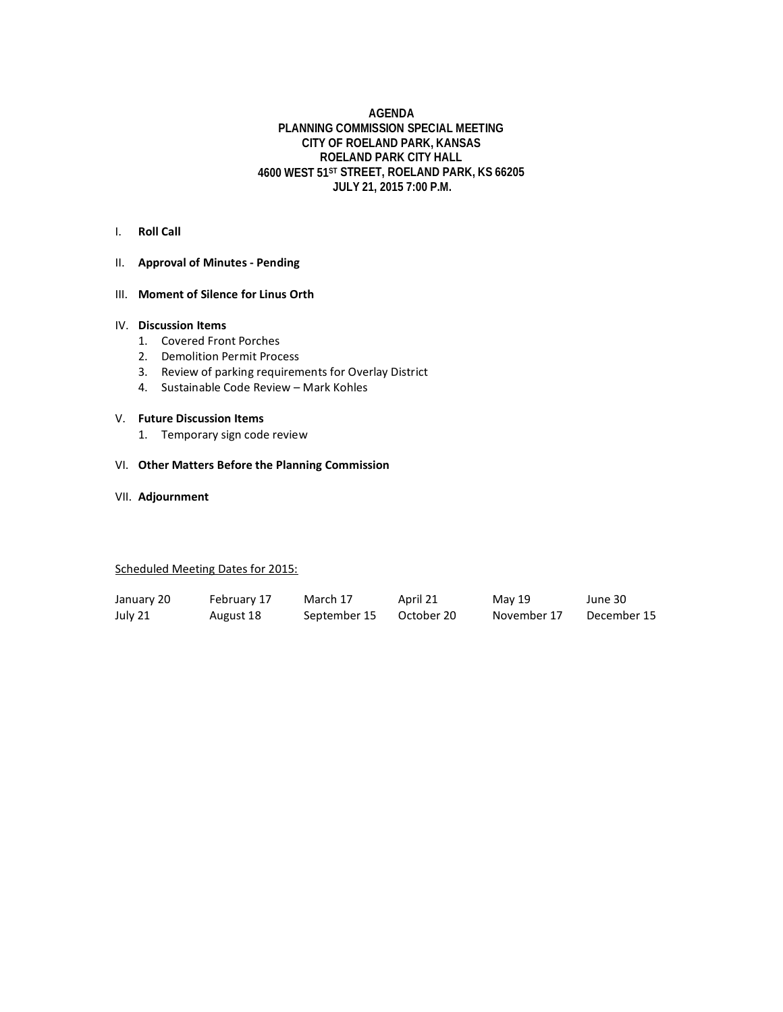#### **AGENDA PLANNING COMMISSION SPECIAL MEETING CITY OF ROELAND PARK, KANSAS ROELAND PARK CITY HALL 4600 WEST 51ST STREET, ROELAND PARK, KS 66205 JULY 21, 2015 7:00 P.M.**

#### I. **Roll Call**

### II. **Approval of Minutes - Pending**

#### III. **Moment of Silence for Linus Orth**

#### IV. **Discussion Items**

- 1. Covered Front Porches
- 2. Demolition Permit Process
- 3. Review of parking requirements for Overlay District
- 4. Sustainable Code Review Mark Kohles

#### V. **Future Discussion Items**

1. Temporary sign code review

#### VI. **Other Matters Before the Planning Commission**

VII. **Adjournment**

#### Scheduled Meeting Dates for 2015:

| January 20 | February 17 | March 17     | April 21   | May 19      | June 30     |
|------------|-------------|--------------|------------|-------------|-------------|
| July 21    | August 18   | September 15 | October 20 | November 17 | December 15 |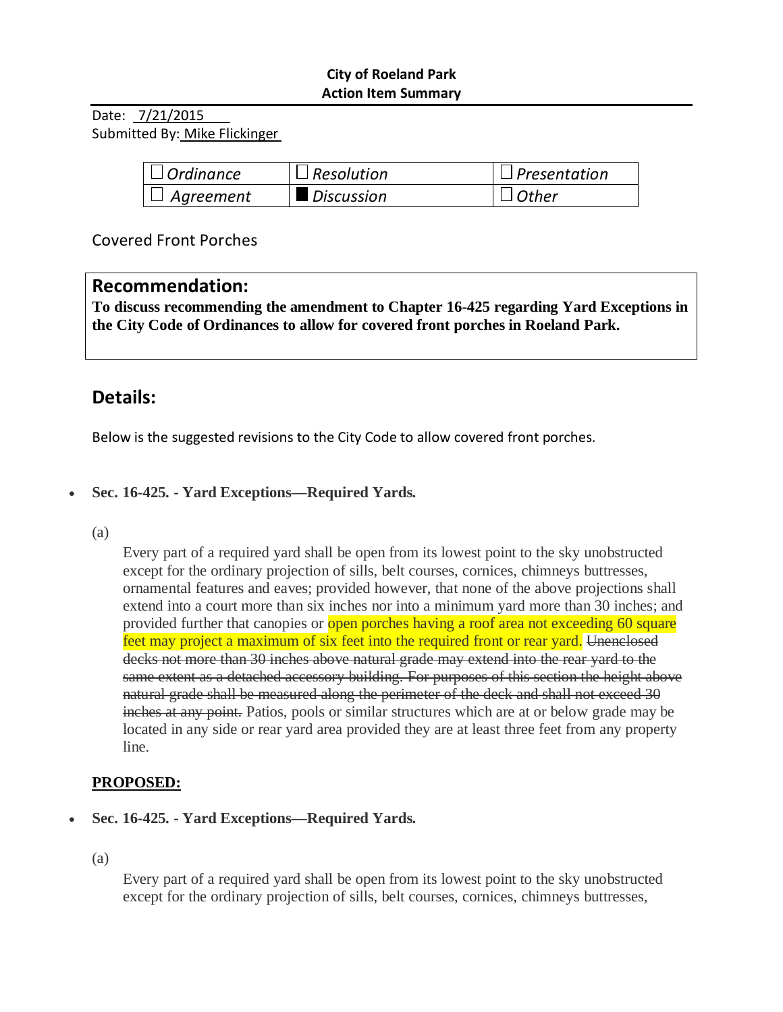# **City of Roeland Park Action Item Summary**

Date: 7/21/2015 Submitted By: Mike Flickinger

| $\Box$ Ordinance | $\Box$ Resolution | $\Box$ Presentation |
|------------------|-------------------|---------------------|
| $\Box$ Agreement | Discussion        | $\lrcorner$ Other   |

Covered Front Porches

# **Recommendation:**

**To discuss recommending the amendment to Chapter 16-425 regarding Yard Exceptions in the City Code of Ordinances to allow for covered front porches in Roeland Park.**

# **Details:**

Below is the suggested revisions to the City Code to allow covered front porches.

# • **Sec. 16-425. - Yard Exceptions—Required Yards.**

(a)

Every part of a required yard shall be open from its lowest point to the sky unobstructed except for the ordinary projection of sills, belt courses, cornices, chimneys buttresses, ornamental features and eaves; provided however, that none of the above projections shall extend into a court more than six inches nor into a minimum yard more than 30 inches; and provided further that canopies or open porches having a roof area not exceeding 60 square feet may project a maximum of six feet into the required front or rear yard. Unenclosed decks not more than 30 inches above natural grade may extend into the rear yard to the same extent as a detached accessory building. For purposes of this section the height above natural grade shall be measured along the perimeter of the deck and shall not exceed 30 inches at any point. Patios, pools or similar structures which are at or below grade may be located in any side or rear yard area provided they are at least three feet from any property line.

# **PROPOSED:**

• **Sec. 16-425. - Yard Exceptions—Required Yards.** 

(a)

Every part of a required yard shall be open from its lowest point to the sky unobstructed except for the ordinary projection of sills, belt courses, cornices, chimneys buttresses,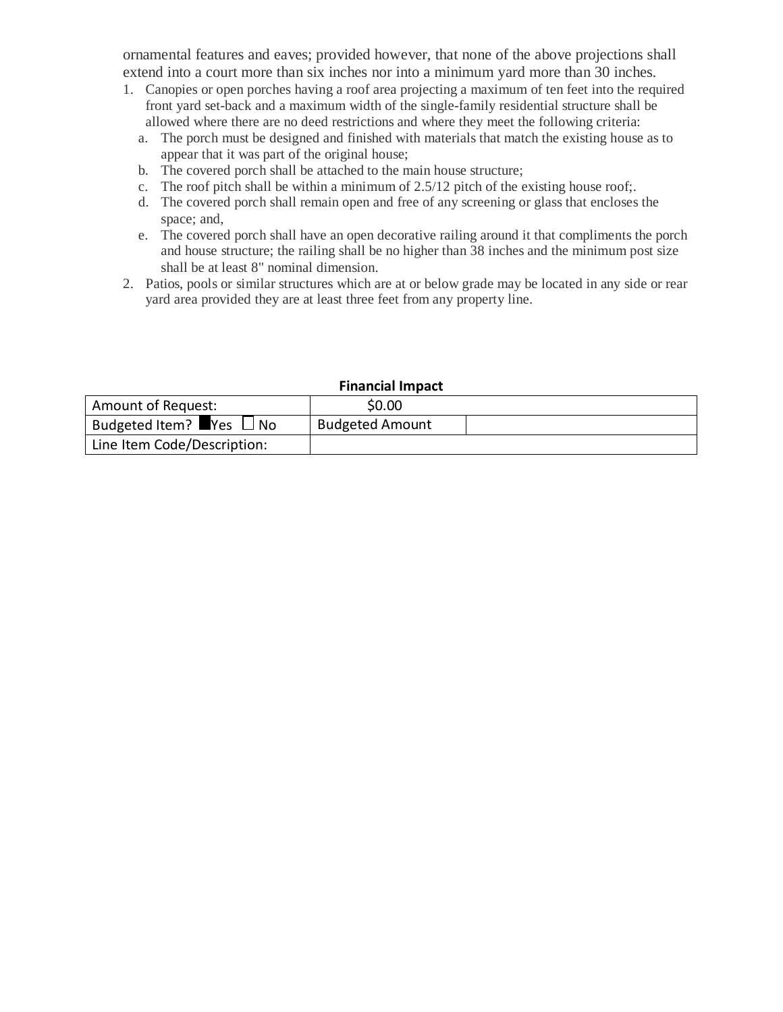ornamental features and eaves; provided however, that none of the above projections shall extend into a court more than six inches nor into a minimum yard more than 30 inches.

- 1. Canopies or open porches having a roof area projecting a maximum of ten feet into the required front yard set-back and a maximum width of the single-family residential structure shall be allowed where there are no deed restrictions and where they meet the following criteria:
	- a. The porch must be designed and finished with materials that match the existing house as to appear that it was part of the original house;
	- b. The covered porch shall be attached to the main house structure;
	- c. The roof pitch shall be within a minimum of 2.5/12 pitch of the existing house roof;.
	- d. The covered porch shall remain open and free of any screening or glass that encloses the space; and,
	- e. The covered porch shall have an open decorative railing around it that compliments the porch and house structure; the railing shall be no higher than 38 inches and the minimum post size shall be at least 8" nominal dimension.
- 2. Patios, pools or similar structures which are at or below grade may be located in any side or rear yard area provided they are at least three feet from any property line.

| Amount of Request:                                  | \$0.00                 |  |
|-----------------------------------------------------|------------------------|--|
| Budgeted Item? $\blacksquare$ Yes $\blacksquare$ No | <b>Budgeted Amount</b> |  |
| Line Item Code/Description:                         |                        |  |

#### **Financial Impact**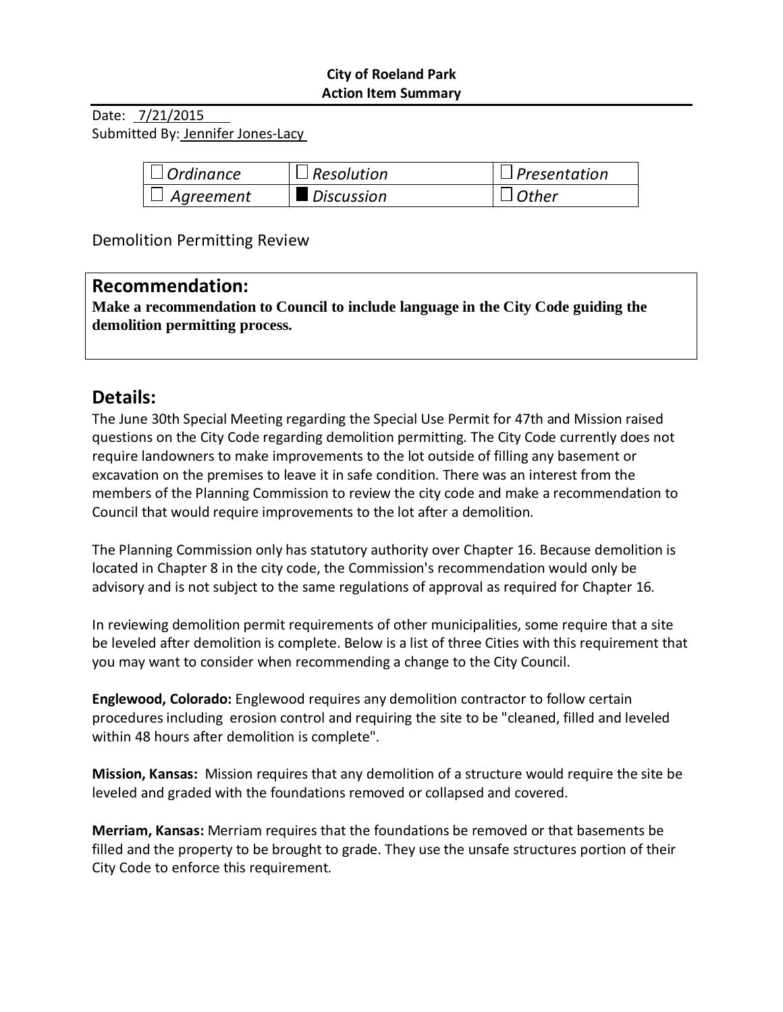# **City of Roeland Park Action Item Summary**

Date: 7/21/2015 Submitted By: Jennifer Jones-Lacy

| $\Box$ Ordinance | $\Box$ Resolution | $\Box$ Presentation |
|------------------|-------------------|---------------------|
| $\Box$ Agreement | Discussion        | $\Box$ Other        |

Demolition Permitting Review

# **Recommendation:**

**Make a recommendation to Council to include language in the City Code guiding the demolition permitting process.**

# **Details:**

The June 30th Special Meeting regarding the Special Use Permit for 47th and Mission raised questions on the City Code regarding demolition permitting. The City Code currently does not require landowners to make improvements to the lot outside of filling any basement or excavation on the premises to leave it in safe condition. There was an interest from the members of the Planning Commission to review the city code and make a recommendation to Council that would require improvements to the lot after a demolition.

The Planning Commission only has statutory authority over Chapter 16. Because demolition is located in Chapter 8 in the city code, the Commission's recommendation would only be advisory and is not subject to the same regulations of approval as required for Chapter 16.

In reviewing demolition permit requirements of other municipalities, some require that a site be leveled after demolition is complete. Below is a list of three Cities with this requirement that you may want to consider when recommending a change to the City Council.

**Englewood, Colorado:** Englewood requires any demolition contractor to follow certain procedures including erosion control and requiring the site to be "cleaned, filled and leveled within 48 hours after demolition is complete".

**Mission, Kansas:** Mission requires that any demolition of a structure would require the site be leveled and graded with the foundations removed or collapsed and covered.

**Merriam, Kansas:** Merriam requires that the foundations be removed or that basements be filled and the property to be brought to grade. They use the unsafe structures portion of their City Code to enforce this requirement.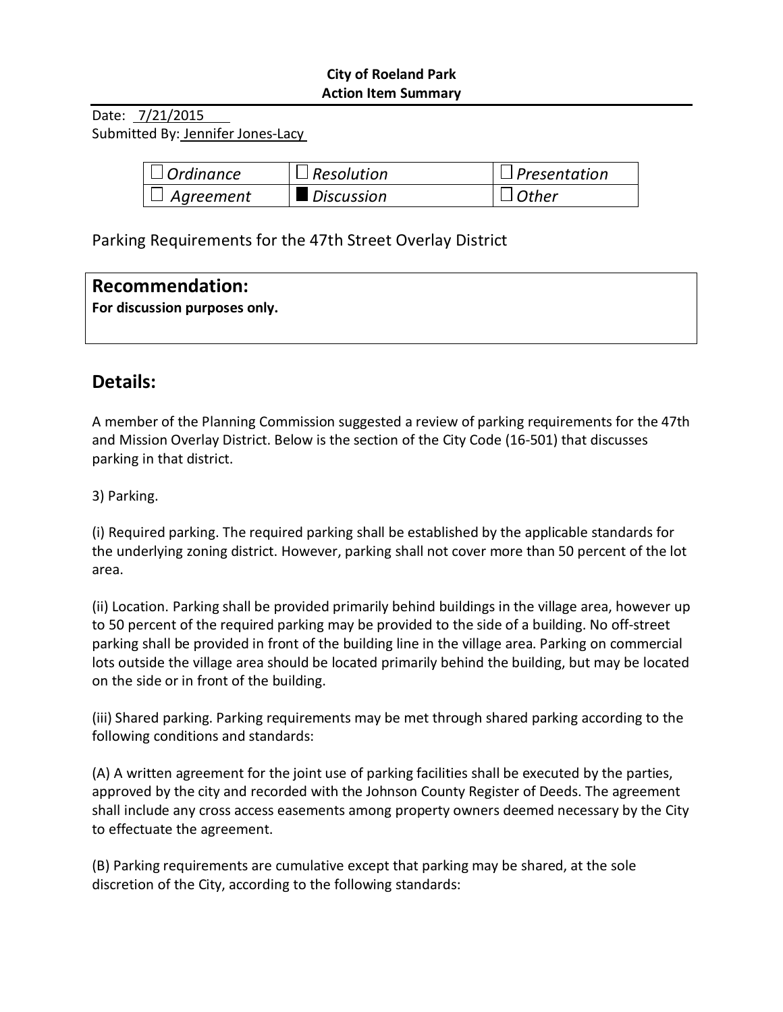# **City of Roeland Park Action Item Summary**

Date: 7/21/2015 Submitted By: Jennifer Jones-Lacy

| $\vert \,\vert$ Ordinance         | $\Box$ Resolution | $\Box$ Presentation |
|-----------------------------------|-------------------|---------------------|
| $^{\shortmid}$ $\sqcup$ Agreement | Discussion        | $\Box$ Other        |

Parking Requirements for the 47th Street Overlay District

| Recommendation:               |  |
|-------------------------------|--|
| For discussion purposes only. |  |
|                               |  |

# **Details:**

A member of the Planning Commission suggested a review of parking requirements for the 47th and Mission Overlay District. Below is the section of the City Code (16-501) that discusses parking in that district.

3) Parking.

(i) Required parking. The required parking shall be established by the applicable standards for the underlying zoning district. However, parking shall not cover more than 50 percent of the lot area.

(ii) Location. Parking shall be provided primarily behind buildings in the village area, however up to 50 percent of the required parking may be provided to the side of a building. No off-street parking shall be provided in front of the building line in the village area. Parking on commercial lots outside the village area should be located primarily behind the building, but may be located on the side or in front of the building.

(iii) Shared parking. Parking requirements may be met through shared parking according to the following conditions and standards:

(A) A written agreement for the joint use of parking facilities shall be executed by the parties, approved by the city and recorded with the Johnson County Register of Deeds. The agreement shall include any cross access easements among property owners deemed necessary by the City to effectuate the agreement.

(B) Parking requirements are cumulative except that parking may be shared, at the sole discretion of the City, according to the following standards: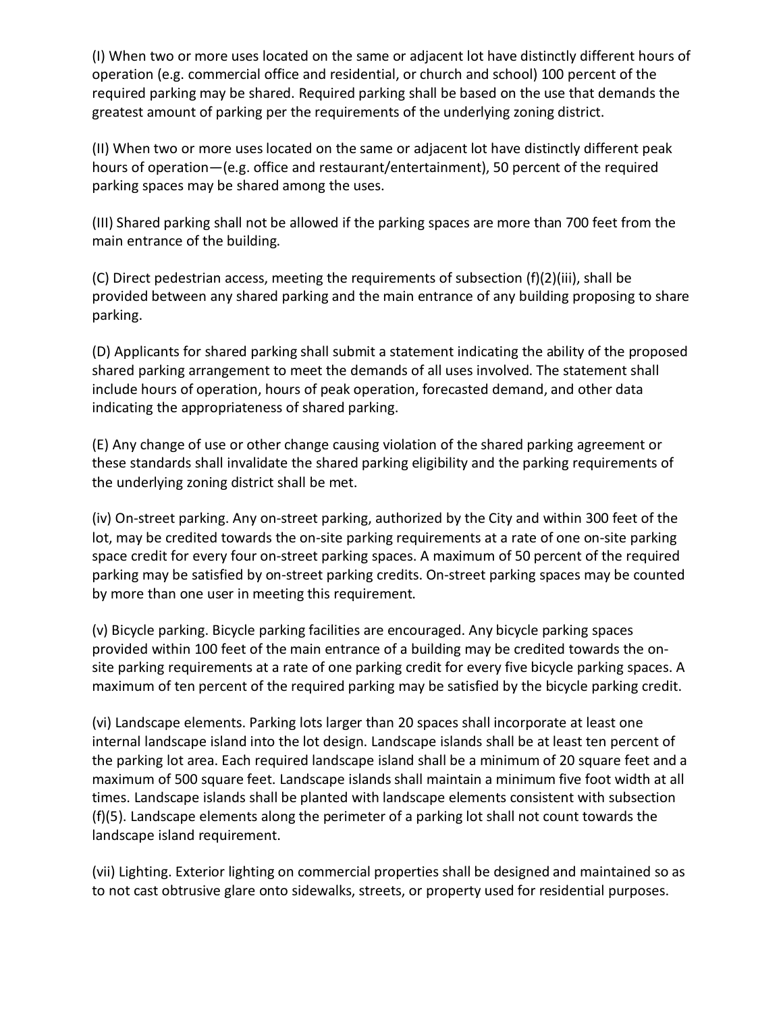(I) When two or more uses located on the same or adjacent lot have distinctly different hours of operation (e.g. commercial office and residential, or church and school) 100 percent of the required parking may be shared. Required parking shall be based on the use that demands the greatest amount of parking per the requirements of the underlying zoning district.

(II) When two or more uses located on the same or adjacent lot have distinctly different peak hours of operation—(e.g. office and restaurant/entertainment), 50 percent of the required parking spaces may be shared among the uses.

(III) Shared parking shall not be allowed if the parking spaces are more than 700 feet from the main entrance of the building.

(C) Direct pedestrian access, meeting the requirements of subsection (f)(2)(iii), shall be provided between any shared parking and the main entrance of any building proposing to share parking.

(D) Applicants for shared parking shall submit a statement indicating the ability of the proposed shared parking arrangement to meet the demands of all uses involved. The statement shall include hours of operation, hours of peak operation, forecasted demand, and other data indicating the appropriateness of shared parking.

(E) Any change of use or other change causing violation of the shared parking agreement or these standards shall invalidate the shared parking eligibility and the parking requirements of the underlying zoning district shall be met.

(iv) On-street parking. Any on-street parking, authorized by the City and within 300 feet of the lot, may be credited towards the on-site parking requirements at a rate of one on-site parking space credit for every four on-street parking spaces. A maximum of 50 percent of the required parking may be satisfied by on-street parking credits. On-street parking spaces may be counted by more than one user in meeting this requirement.

(v) Bicycle parking. Bicycle parking facilities are encouraged. Any bicycle parking spaces provided within 100 feet of the main entrance of a building may be credited towards the onsite parking requirements at a rate of one parking credit for every five bicycle parking spaces. A maximum of ten percent of the required parking may be satisfied by the bicycle parking credit.

(vi) Landscape elements. Parking lots larger than 20 spaces shall incorporate at least one internal landscape island into the lot design. Landscape islands shall be at least ten percent of the parking lot area. Each required landscape island shall be a minimum of 20 square feet and a maximum of 500 square feet. Landscape islands shall maintain a minimum five foot width at all times. Landscape islands shall be planted with landscape elements consistent with subsection (f)(5). Landscape elements along the perimeter of a parking lot shall not count towards the landscape island requirement.

(vii) Lighting. Exterior lighting on commercial properties shall be designed and maintained so as to not cast obtrusive glare onto sidewalks, streets, or property used for residential purposes.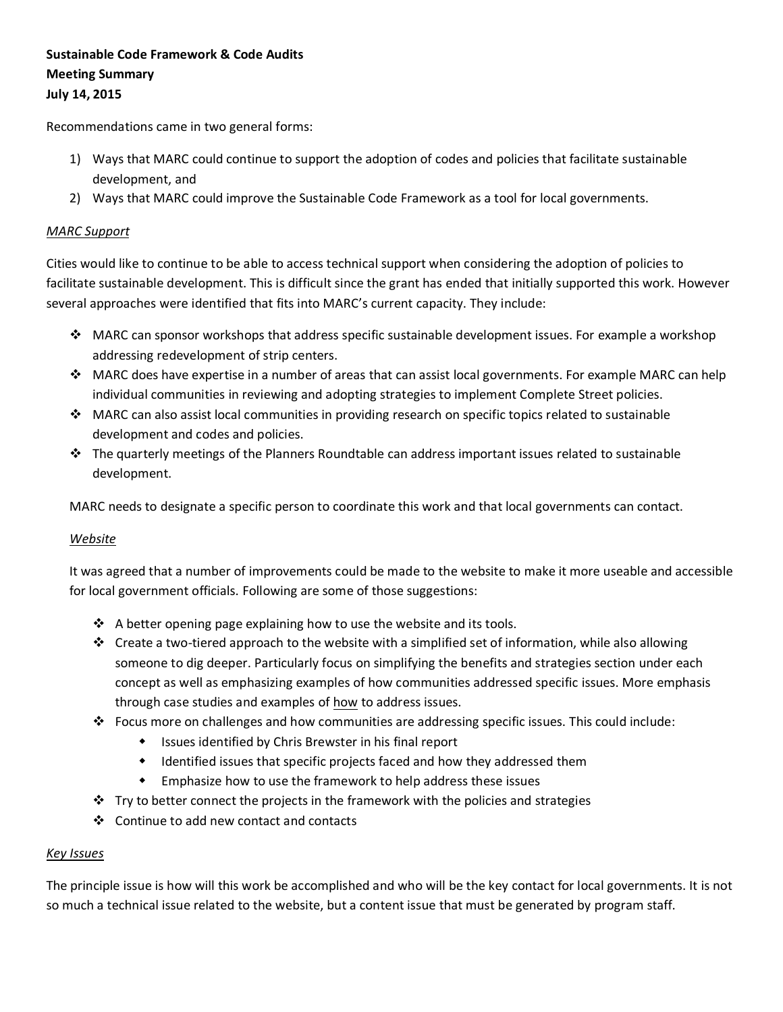# **Sustainable Code Framework & Code Audits Meeting Summary July 14, 2015**

Recommendations came in two general forms:

- 1) Ways that MARC could continue to support the adoption of codes and policies that facilitate sustainable development, and
- 2) Ways that MARC could improve the Sustainable Code Framework as a tool for local governments.

#### *MARC Support*

Cities would like to continue to be able to access technical support when considering the adoption of policies to facilitate sustainable development. This is difficult since the grant has ended that initially supported this work. However several approaches were identified that fits into MARC's current capacity. They include:

- MARC can sponsor workshops that address specific sustainable development issues. For example a workshop addressing redevelopment of strip centers.
- MARC does have expertise in a number of areas that can assist local governments. For example MARC can help individual communities in reviewing and adopting strategies to implement Complete Street policies.
- MARC can also assist local communities in providing research on specific topics related to sustainable development and codes and policies.
- The quarterly meetings of the Planners Roundtable can address important issues related to sustainable development.

MARC needs to designate a specific person to coordinate this work and that local governments can contact.

#### *Website*

It was agreed that a number of improvements could be made to the website to make it more useable and accessible for local government officials. Following are some of those suggestions:

- $\cdot$  A better opening page explaining how to use the website and its tools.
- $\cdot \cdot$  Create a two-tiered approach to the website with a simplified set of information, while also allowing someone to dig deeper. Particularly focus on simplifying the benefits and strategies section under each concept as well as emphasizing examples of how communities addressed specific issues. More emphasis through case studies and examples of how to address issues.
- Focus more on challenges and how communities are addressing specific issues. This could include:
	- Issues identified by Chris Brewster in his final report
	- Identified issues that specific projects faced and how they addressed them
	- Emphasize how to use the framework to help address these issues
- $\cdot \cdot$  Try to better connect the projects in the framework with the policies and strategies
- Continue to add new contact and contacts

#### *Key Issues*

The principle issue is how will this work be accomplished and who will be the key contact for local governments. It is not so much a technical issue related to the website, but a content issue that must be generated by program staff.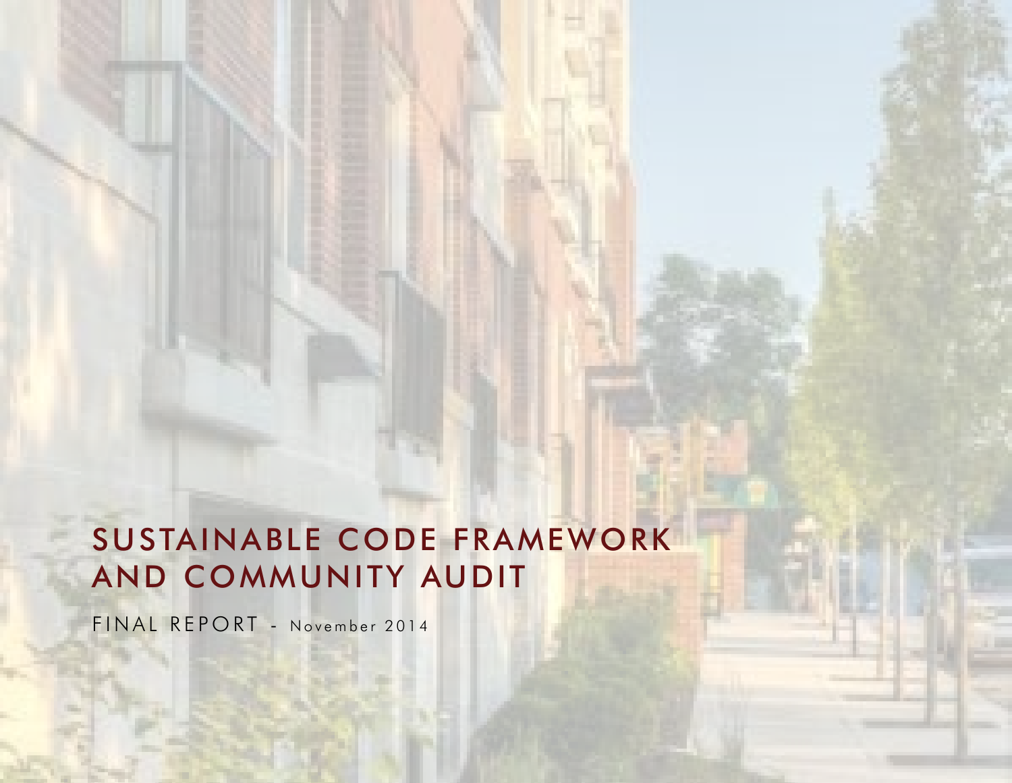# SUSTAINABLE CODE FRAMEWORK AND COMMUNITY AUDIT

FINAL REPORT - November 2014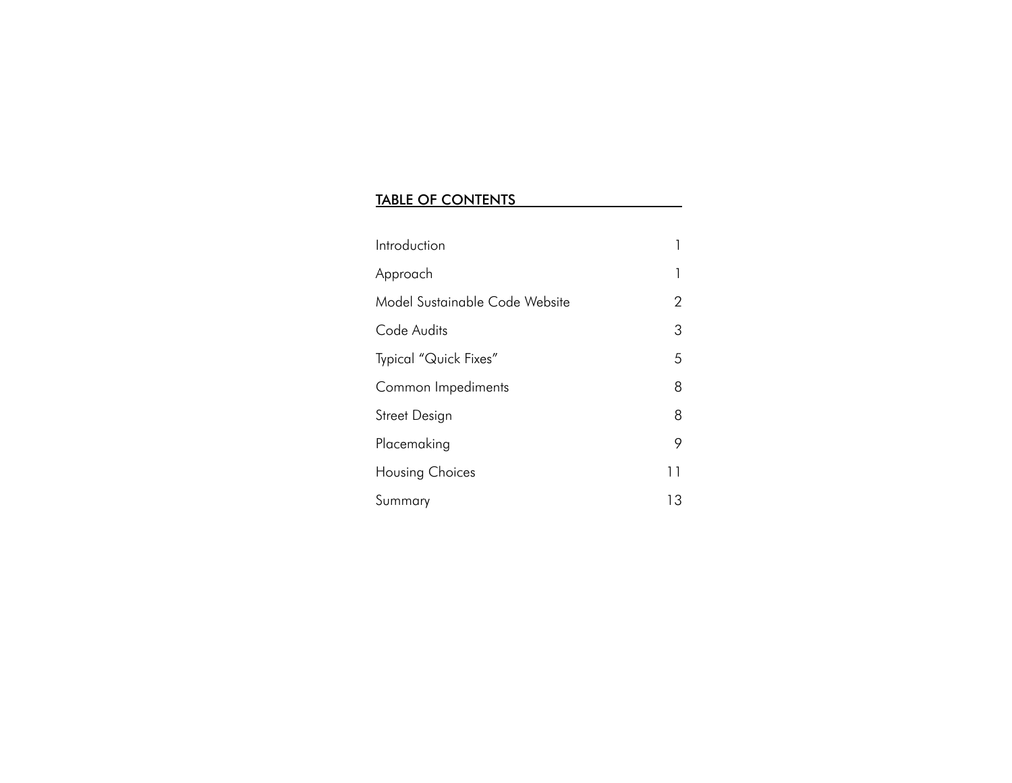# TABLE OF CONTENTS

| Introduction                   |    |
|--------------------------------|----|
| Approach                       | 1  |
| Model Sustainable Code Website | 2  |
| Code Audits                    | 3  |
| Typical "Quick Fixes"          | 5  |
| Common Impediments             | 8  |
| Street Design                  | 8  |
| Placemaking                    | 9  |
| Housing Choices                | 11 |
| Summary                        | 13 |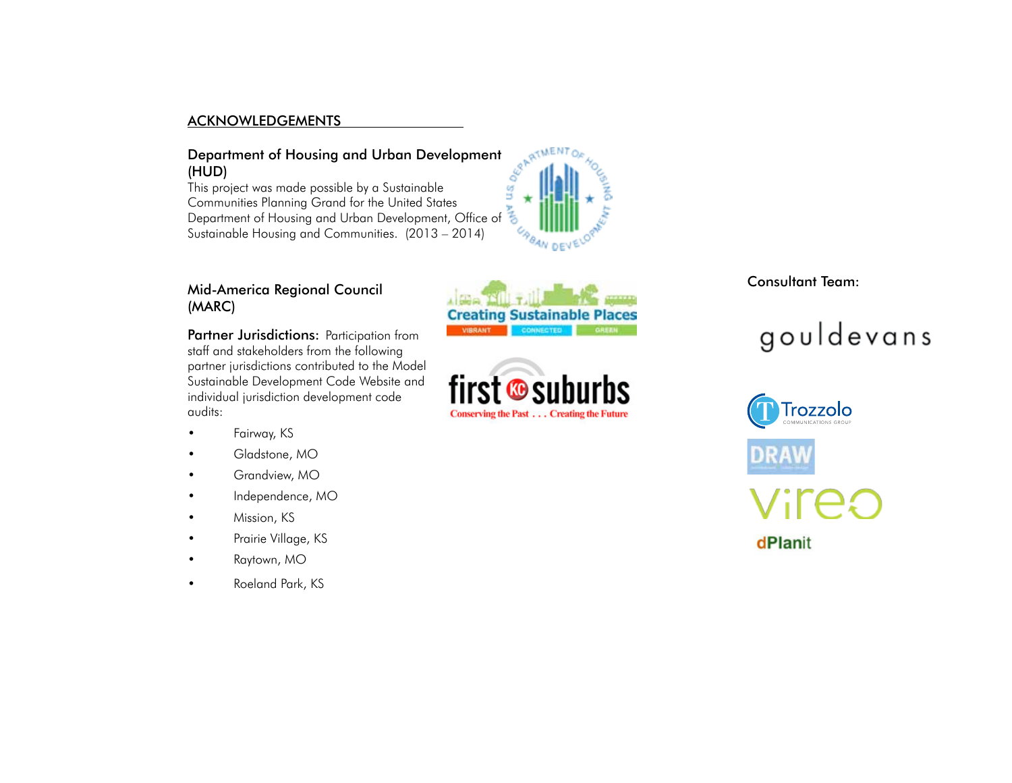#### ACKNOWLEDGEMENTS

# Department of Housing and Urban Development<br>(HUD)<br>This and the Urban Development (HUD)

This project was made possible by a Sustainable Communities Planning Grand for the United States Communities Planning Grand tor the United States<br>Department of Housing and Urban Development, Office of Sustainable Housing and Communities. (2013 – 2014)



## Mid-America Regional Council (MARC)

Partner Jurisdictions: Participation from staff and stakeholders from the following partner jurisdictions contributed to the Model Sustainable Development Code Website and individual jurisdiction development code audits:

- Fairway, KS
- Gladstone, MO
- Grandview, MO
- Independence, MO
- Mission, KS
- Prairie Village, KS
- Raytown, MO
- Roeland Park, KS





Consultant Team:

# gouldevans

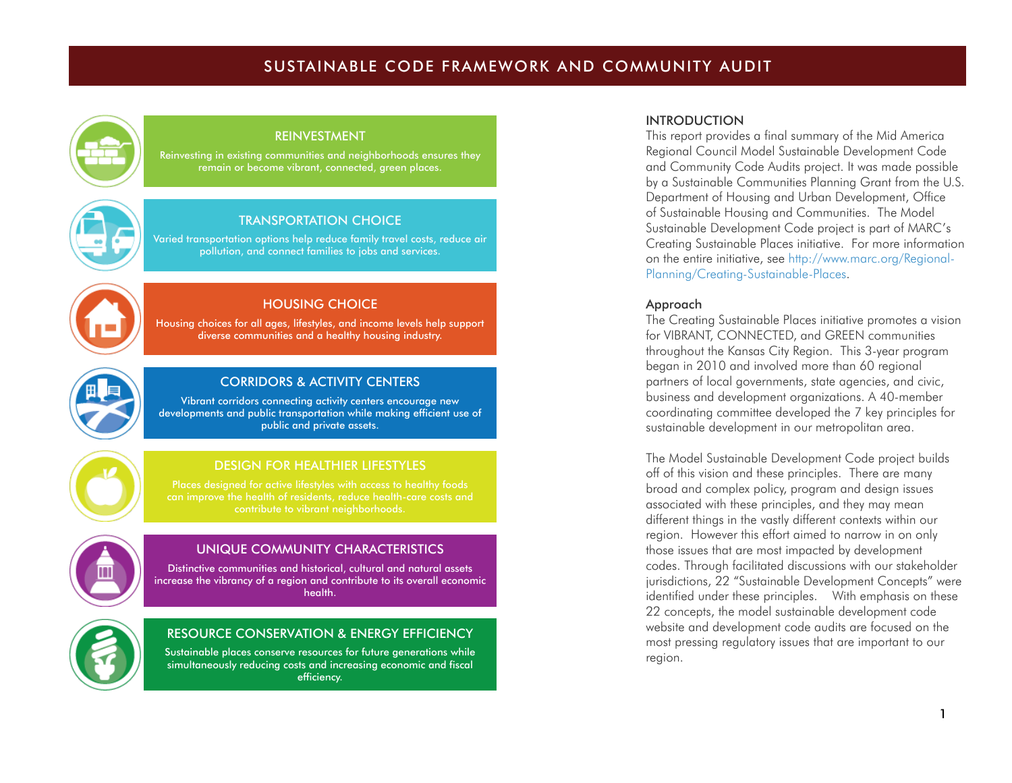# SUSTAINABLE CODE FRAMEWORK AND COMMUNITY AUDIT



#### REINVESTMENT

Reinvesting in existing communities and neighborhoods ensures they remain or become vibrant, connected, green places.



#### TRANSPORTATION CHOICE

Varied transportation options help reduce family travel costs, reduce air pollution, and connect families to jobs and services.



### HOUSING CHOICE

Housing choices for all ages, lifestyles, and income levels help support diverse communities and a healthy housing industry.



#### CORRIDORS & ACTIVITY CENTERS

Vibrant corridors connecting activity centers encourage new developments and public transportation while making efficient use of public and private assets.

# DESIGN FOR HEALTHIER LIFESTYLES



#### UNIQUE COMMUNITY CHARACTERISTICS

Distinctive communities and historical, cultural and natural assets increase the vibrancy of a region and contribute to its overall economic health.



#### RESOURCE CONSERVATION & ENERGY EFFICIENCY

Sustainable places conserve resources for future generations while simultaneously reducing costs and increasing economic and fiscal efficiency.

#### INTRODUCTION

This report provides a final summary of the Mid America Regional Council Model Sustainable Development Code and Community Code Audits project. It was made possible by a Sustainable Communities Planning Grant from the U.S. Department of Housing and Urban Development, Office of Sustainable Housing and Communities. The Model Sustainable Development Code project is part of MARC's Creating Sustainable Places initiative. For more information on the entire initiative, see http://www.marc.org/Regional-Planning/Creating-Sustainable-Places.

#### Approach

The Creating Sustainable Places initiative promotes a vision for VIBRANT, CONNECTED, and GREEN communities throughout the Kansas City Region. This 3-year program began in 2010 and involved more than 60 regional partners of local governments, state agencies, and civic, business and development organizations. A 40-member coordinating committee developed the 7 key principles for sustainable development in our metropolitan area.

The Model Sustainable Development Code project builds off of this vision and these principles. There are many broad and complex policy, program and design issues associated with these principles, and they may mean different things in the vastly different contexts within our region. However this effort aimed to narrow in on only those issues that are most impacted by development codes. Through facilitated discussions with our stakeholder jurisdictions, 22 "Sustainable Development Concepts" were identified under these principles. With emphasis on these 22 concepts, the model sustainable development code website and development code audits are focused on the most pressing regulatory issues that are important to our region.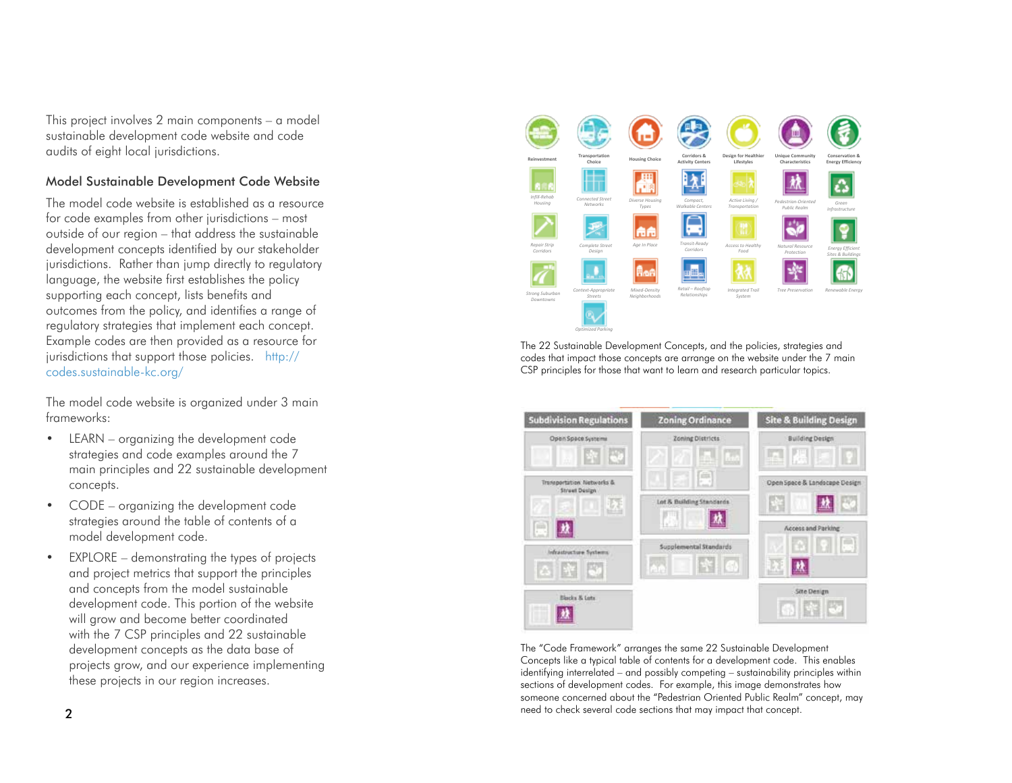This project involves 2 main components – a model sustainable development code website and code audits of eight local jurisdictions.

#### Model Sustainable Development Code Website

The model code website is established as a resource for code examples from other jurisdictions – most outside of our region – that address the sustainable development concepts identified by our stakeholder jurisdictions. Rather than jump directly to regulatory language, the website first establishes the policy supporting each concept, lists benefits and outcomes from the policy, and identifies a range of regulatory strategies that implement each concept. Example codes are then provided as a resource for jurisdictions that support those policies. http:// codes.sustainable-kc.org/

The model code website is organized under 3 main frameworks:

- LEARN organizing the development code strategies and code examples around the 7 main principles and 22 sustainable development concepts.
- CODE organizing the development code strategies around the table of contents of a model development code.
- EXPLORE demonstrating the types of projects and project metrics that support the principles and concepts from the model sustainable development code. This portion of the website will grow and become better coordinated with the 7 CSP principles and 22 sustainable development concepts as the data base of projects grow, and our experience implementing these projects in our region increases.



The 22 Sustainable Development Concepts, and the policies, strategies and codes that impact those concepts are arrange on the website under the 7 main CSP principles for those that want to learn and research particular topics.



The "Code Framework" arranges the same 22 Sustainable Development Concepts like a typical table of contents for a development code. This enables identifying interrelated – and possibly competing – sustainability principles within sections of development codes. For example, this image demonstrates how someone concerned about the "Pedestrian Oriented Public Realm" concept, may need to check several code sections that may impact that concept.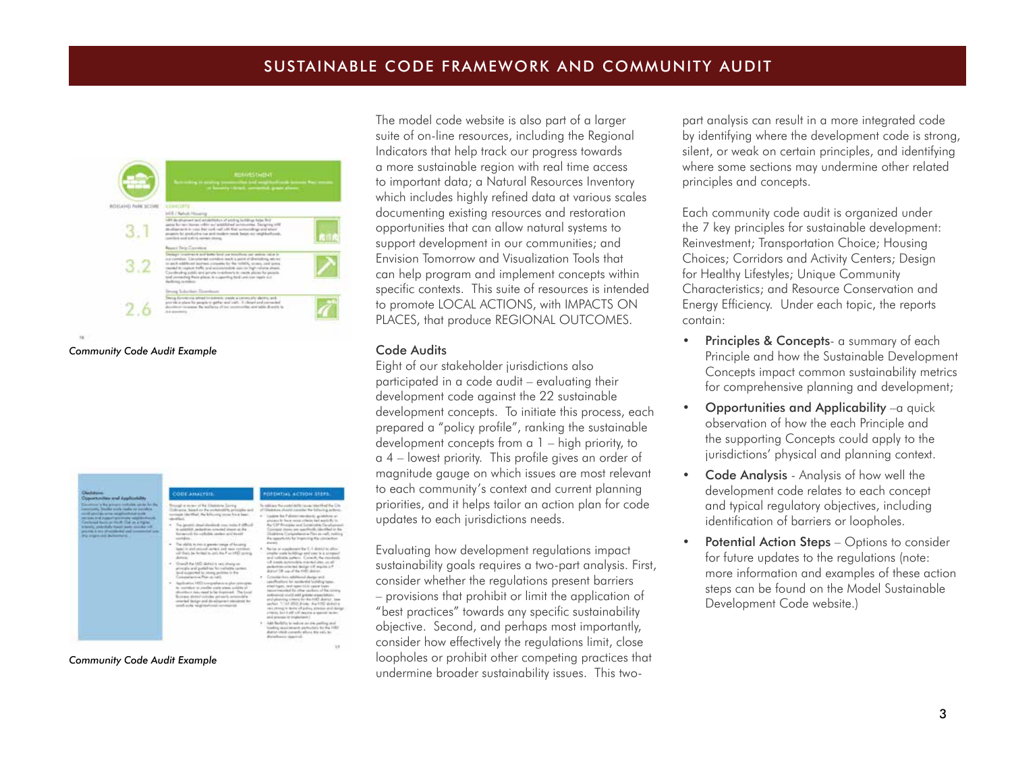

*Community Code Audit Example*

| <b>Approximent and Applicately</b>                                                                                                                                                                                                                                                                                                                                                                     | <b>CODE AMALYSIS</b>                                                                                                                                                                                                                                                                                                                                                                                                                                                                                                                                                                                                                                                                                                                                                                                                                                                                                                                                         | FOTOYIAL ACTION STEPS                                                                                                                                                                                                                                                                                                                                                                                                                                                                                                                                                                                                                                                                                                                                                                                                                                                                                                                                                                                                                                                                                                                                                                                                                                                                                                                                                                                  |
|--------------------------------------------------------------------------------------------------------------------------------------------------------------------------------------------------------------------------------------------------------------------------------------------------------------------------------------------------------------------------------------------------------|--------------------------------------------------------------------------------------------------------------------------------------------------------------------------------------------------------------------------------------------------------------------------------------------------------------------------------------------------------------------------------------------------------------------------------------------------------------------------------------------------------------------------------------------------------------------------------------------------------------------------------------------------------------------------------------------------------------------------------------------------------------------------------------------------------------------------------------------------------------------------------------------------------------------------------------------------------------|--------------------------------------------------------------------------------------------------------------------------------------------------------------------------------------------------------------------------------------------------------------------------------------------------------------------------------------------------------------------------------------------------------------------------------------------------------------------------------------------------------------------------------------------------------------------------------------------------------------------------------------------------------------------------------------------------------------------------------------------------------------------------------------------------------------------------------------------------------------------------------------------------------------------------------------------------------------------------------------------------------------------------------------------------------------------------------------------------------------------------------------------------------------------------------------------------------------------------------------------------------------------------------------------------------------------------------------------------------------------------------------------------------|
| Conventions to the primary traditation carrier for the<br>convention, basiles with realist to consider.<br>social grantee arms as adduction and cold<br>service and nasenham/instead relationship.<br>Continued Buries on Phrift, Coll up, a Higher<br>is selectic, productfuelly friends month convolute with<br>provide it does of actionship and commercial tales<br>For might skill be fourtheirs. | Broad a more of by Updave Serry<br>diversia. Sixual co the mototrotelity principles and<br>sum (darmlas). He brittering terms have been<br>The Jacquitt, Angel playedgeds your works it offlicted<br>to animiddly packeters in backed please as the<br>becaused for cutlishin project and board<br>The shifts to you a genety tongs of baseing<br>tage is and annual series, not see continue<br>all that in Initial is said the Part HD many<br>4 . Dramif Au 100 diskut is net sharts on<br>adveraging and question has realizable content.<br>and supported by promp profeting in the<br>Conceptuation Reg. of radio<br>4 Application HID is respective as plus seen grap<br>In station were needed address or waisting of<br>shorthern risks right to be trustrient. The Local<br>Toyotan Metri infialm privately arranged -<br>interded the light and disadjustment plansment for<br>Annancial statement igner after from<br><b>COLLEGE AND INCOME.</b> | In redding the contribuilty terms when the City<br>of Glasbrian studel concider the Silantra actions.<br>Equities the Palester-securities, accelering or<br>principals by four-a-metals criticists hand appointedly in-<br>By Cit <sup>+</sup> Biociples and Letiterates Development<br>Coleman music are appreciably blandbad at dai-<br>Disabilities, Cartanolaeos a Para as wall, making<br>the opportunity for traperting this constantion<br><b>CONTRACT</b><br>Northern and advanced that C.A showed to affect<br>amazine scala latitudings and ever in a cross<br>and collectin cartasts. Connelly the result<br>all costs activable transation as of<br>Fo attack for spink haracterstanding<br>depend that you of the trust industry<br>Criterian Kein, subditional design well<br>candifications for paidle-that lookship home.<br>attest tigers, hand issue title salary frame<br>ingnormancial for other exciters of his strong<br>continuing state in the United Streets<br>and also sing ideals for the MRI distinct team<br>sector, 7,747,000 Picks, the USS deturns<br>start phong'te Noted of policy, phones and daring<br>principal in a property for the Court of and<br>and process to trigitational (<br>1 Add facilities to induce an time publing and<br>building reconstructions productions for the 1482.<br>duties which compute allocal this way, be-<br>durations towered. |

#### *Community Code Audit Example*

The model code website is also part of a larger suite of on-line resources, including the Regional Indicators that help track our progress towards a more sustainable region with real time access to important data; a Natural Resources Inventory which includes highly refined data at various scales documenting existing resources and restoration opportunities that can allow natural systems to support development in our communities; and Envision Tomorrow and Visualization Tools that can help program and implement concepts within specific contexts. This suite of resources is intended to promote LOCAL ACTIONS, with IMPACTS ON PLACES, that produce REGIONAL OUTCOMES.

#### Code Audits

Eight of our stakeholder jurisdictions also participated in a code audit – evaluating their development code against the 22 sustainable development concepts. To initiate this process, each prepared a "policy profile", ranking the sustainable development concepts from a 1 – high priority, to a 4 – lowest priority. This profile gives an order of magnitude gauge on which issues are most relevant to each community's context and current planning priorities, and it helps tailor an action plan for code updates to each jurisdictions needs.

Evaluating how development regulations impact sustainability goals requires a two-part analysis. First, consider whether the regulations present barriers – provisions that prohibit or limit the application of "best practices" towards any specific sustainability objective. Second, and perhaps most importantly, consider how effectively the regulations limit, close loopholes or prohibit other competing practices that undermine broader sustainability issues. This two-

part analysis can result in a more integrated code by identifying where the development code is strong, silent, or weak on certain principles, and identifying where some sections may undermine other related principles and concepts.

Each community code audit is organized under the 7 key principles for sustainable development: Reinvestment; Transportation Choice; Housing Choices; Corridors and Activity Centers; Design for Healthy Lifestyles; Unique Community Characteristics; and Resource Conservation and Energy Efficiency. Under each topic, the reports contain:

- Principles & Concepts- a summary of each Principle and how the Sustainable Development Concepts impact common sustainability metrics for comprehensive planning and development;
- Opportunities and Applicability –a quick observation of how the each Principle and the supporting Concepts could apply to the jurisdictions' physical and planning context.
- Code Analysis Analysis of how well the development code relates to each concept and typical regulatory objectives, including identification of barriers or loopholes.
- Potential Action Steps Options to consider for future updates to the regulations (note: more information and examples of these action steps can be found on the Model Sustainable Development Code website.)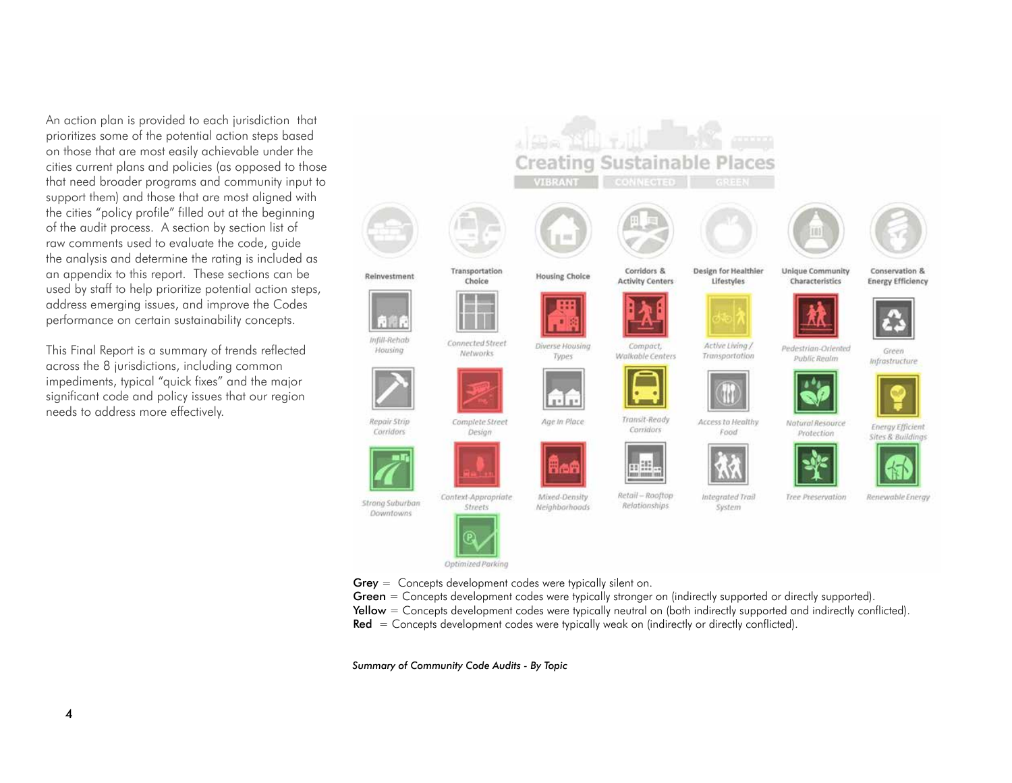An action plan is provided to each jurisdiction that prioritizes some of the potential action steps based on those that are most easily achievable under the cities current plans and policies (as opposed to those that need broader programs and community input to support them) and those that are most aligned with the cities "policy profile" filled out at the beginning of the audit process. A section by section list of raw comments used to evaluate the code, guide the analysis and determine the rating is included as an appendix to this report. These sections can be used by staff to help prioritize potential action steps, address emerging issues, and improve the Codes performance on certain sustainability concepts.

This Final Report is a summary of trends reflected across the 8 jurisdictions, including common impediments, typical "quick fixes" and the major significant code and policy issues that our region needs to address more effectively.



*Summary of Community Code Audits - By Topic*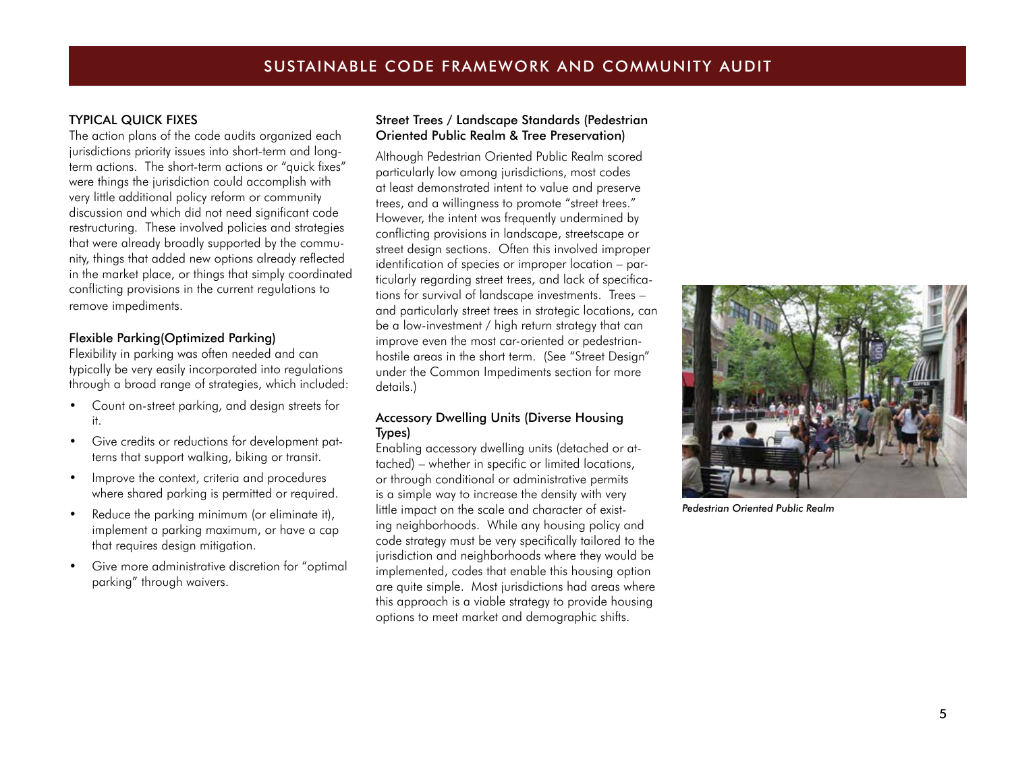#### TYPICAL QUICK FIXES

The action plans of the code audits organized each jurisdictions priority issues into short-term and longterm actions. The short-term actions or "quick fixes" were things the jurisdiction could accomplish with very little additional policy reform or community discussion and which did not need significant code restructuring. These involved policies and strategies that were already broadly supported by the community, things that added new options already reflected in the market place, or things that simply coordinated conflicting provisions in the current regulations to remove impediments.

#### Flexible Parking(Optimized Parking)

Flexibility in parking was often needed and can typically be very easily incorporated into regulations through a broad range of strategies, which included:

- Count on-street parking, and design streets for it.
- Give credits or reductions for development patterns that support walking, biking or transit.
- Improve the context, criteria and procedures where shared parking is permitted or required.
- Reduce the parking minimum (or eliminate it), implement a parking maximum, or have a cap that requires design mitigation.
- Give more administrative discretion for "optimal parking" through waivers.

#### Street Trees / Landscape Standards (Pedestrian Oriented Public Realm & Tree Preservation)

Although Pedestrian Oriented Public Realm scored particularly low among jurisdictions, most codes at least demonstrated intent to value and preserve trees, and a willingness to promote "street trees." However, the intent was frequently undermined by conflicting provisions in landscape, streetscape or street design sections. Often this involved improper identification of species or improper location – particularly regarding street trees, and lack of specifications for survival of landscape investments. Trees – and particularly street trees in strategic locations, can be a low-investment / high return strategy that can improve even the most car-oriented or pedestrianhostile areas in the short term. (See "Street Design" under the Common Impediments section for more details.)

#### Accessory Dwelling Units (Diverse Housing Types)

Enabling accessory dwelling units (detached or attached) – whether in specific or limited locations, or through conditional or administrative permits is a simple way to increase the density with very little impact on the scale and character of existing neighborhoods. While any housing policy and code strategy must be very specifically tailored to the jurisdiction and neighborhoods where they would be implemented, codes that enable this housing option are quite simple. Most jurisdictions had areas where this approach is a viable strategy to provide housing options to meet market and demographic shifts.



*Pedestrian Oriented Public Realm*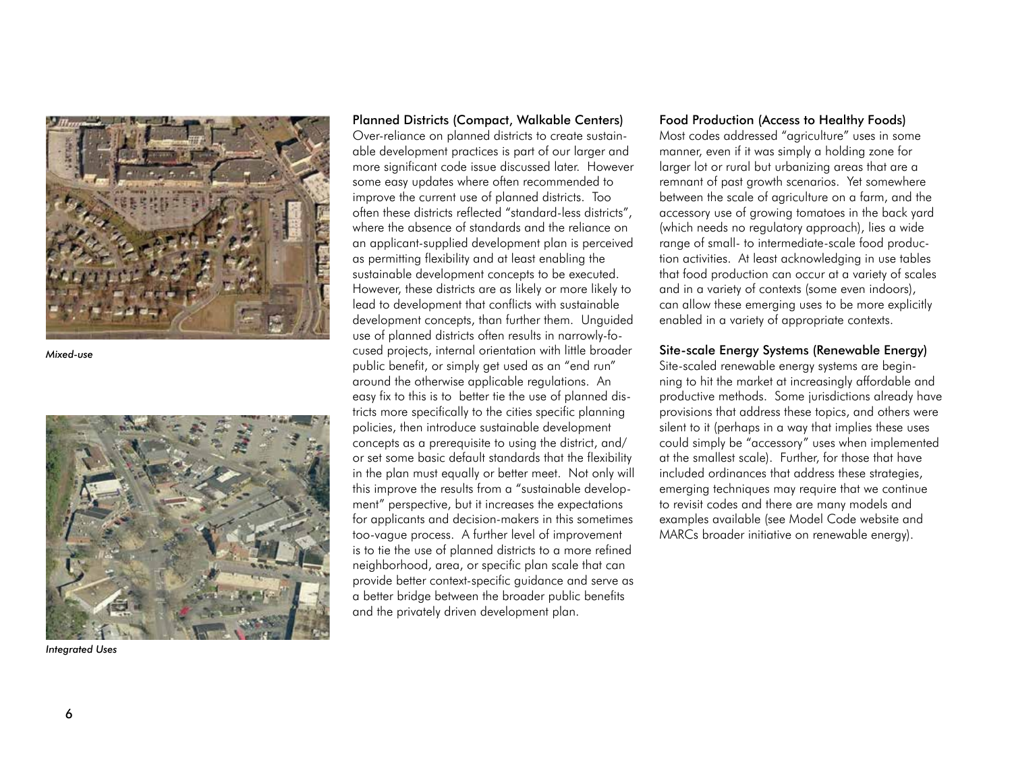

*Mixed-use*



*Integrated Uses*

Planned Districts (Compact, Walkable Centers)

Over-reliance on planned districts to create sustain able development practices is part of our larger and more significant code issue discussed later. However some easy updates where often recommended to improve the current use of planned districts. Too often these districts reflected "standard-less districts", where the absence of standards and the reliance on an applicant-supplied development plan is perceived as permitting flexibility and at least enabling the sustainable development concepts to be executed. However, these districts are as likely or more likely to lead to development that conflicts with sustainable development concepts, than further them. Unguided use of planned districts often results in narrowly-fo cused projects, internal orientation with little broader public benefit, or simply get used as an "end run" around the otherwise applicable regulations. An easy fix to this is to better tie the use of planned dis tricts more specifically to the cities specific planning policies, then introduce sustainable development concepts as a prerequisite to using the district, and/ or set some basic default standards that the flexibility in the plan must equally or better meet. Not only will this improve the results from a "sustainable develop ment" perspective, but it increases the expectations for applicants and decision-makers in this sometimes too-vague process. A further level of improvement is to tie the use of planned districts to a more refined neighborhood, area, or specific plan scale that can provide better context-specific guidance and serve as a better bridge between the broader public benefits and the privately driven development plan.

#### Food Production (Access to Healthy Foods)

Most codes addressed "agriculture" uses in some manner, even if it was simply a holding zone for larger lot or rural but urbanizing areas that are a remnant of past growth scenarios. Yet somewhere between the scale of agriculture on a farm, and the accessory use of growing tomatoes in the back yard (which needs no regulatory approach), lies a wide range of small- to intermediate-scale food produc tion activities. At least acknowledging in use tables that food production can occur at a variety of scales and in a variety of contexts (some even indoors), can allow these emerging uses to be more explicitly enabled in a variety of appropriate contexts.

#### Site-scale Energy Systems (Renewable Energy)

Site-scaled renewable energy systems are begin ning to hit the market at increasingly affordable and productive methods. Some jurisdictions already have provisions that address these topics, and others were silent to it (perhaps in a way that implies these uses could simply be "accessory" uses when implemented at the smallest scale). Further, for those that have included ordinances that address these strategies, emerging techniques may require that we continue to revisit codes and there are many models and examples available (see Model Code website and MARCs broader initiative on renewable energy).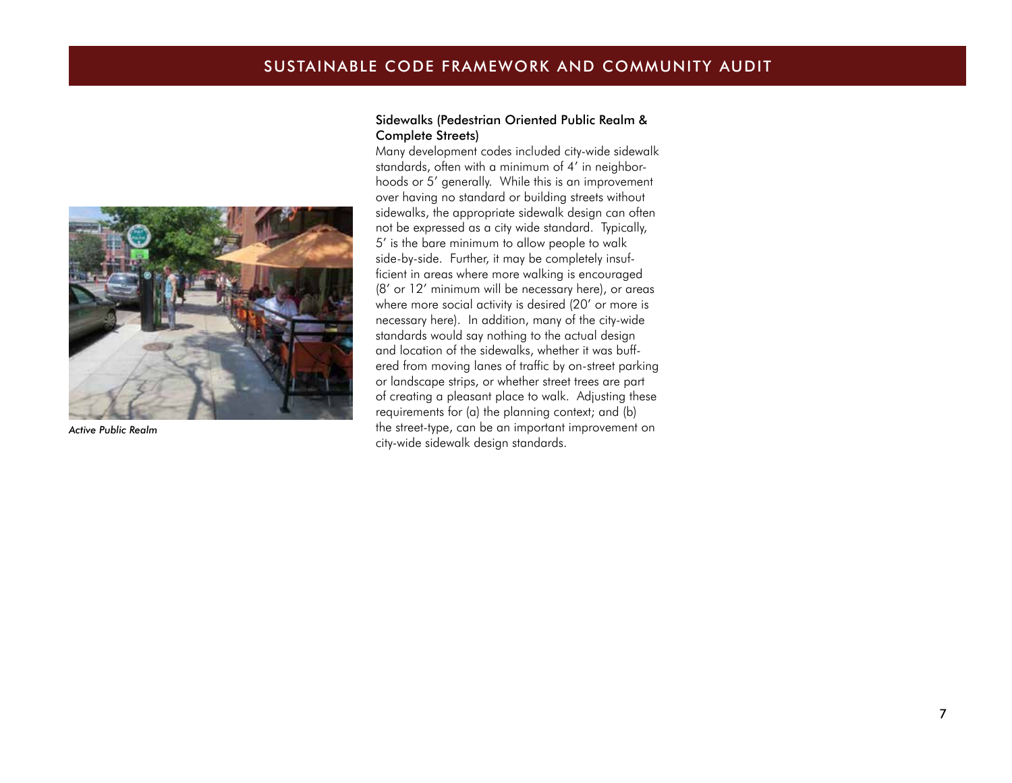# SUSTAINABLE CODE FRAMEWORK AND COMMUNITY AUDIT



*Active Public Realm*

#### Sidewalks (Pedestrian Oriented Public Realm & Complete Streets)

Many development codes included city-wide sidewalk standards, often with a minimum of 4' in neighborhoods or 5' generally. While this is an improvement over having no standard or building streets without sidewalks, the appropriate sidewalk design can often not be expressed as a city wide standard. Typically, 5' is the bare minimum to allow people to walk side-by-side. Further, it may be completely insufficient in areas where more walking is encouraged (8' or 12' minimum will be necessary here), or areas where more social activity is desired (20' or more is necessary here). In addition, many of the city-wide standards would say nothing to the actual design and location of the sidewalks, whether it was buffered from moving lanes of traffic by on-street parking or landscape strips, or whether street trees are part of creating a pleasant place to walk. Adjusting these requirements for (a) the planning context; and (b) the street-type, can be an important improvement on city-wide sidewalk design standards.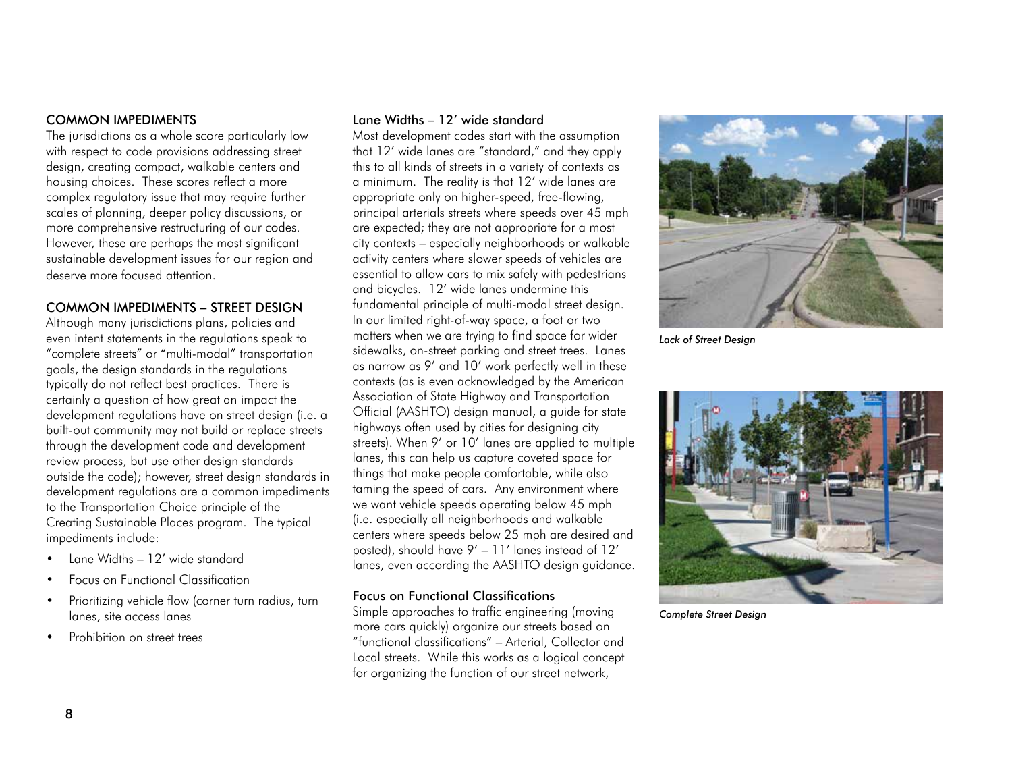#### COMMON IMPEDIMENTS

The jurisdictions as a whole score particularly low with respect to code provisions addressing street design, creating compact, walkable centers and housing choices. These scores reflect a more complex regulatory issue that may require further scales of planning, deeper policy discussions, or more comprehensive restructuring of our codes. However, these are perhaps the most significant sustainable development issues for our region and deserve more focused attention.

#### COMMON IMPEDIMENTS – STREET DESIGN

Although many jurisdictions plans, policies and even intent statements in the regulations speak to "complete streets" or "multi-modal" transportation goals, the design standards in the regulations typically do not reflect best practices. There is certainly a question of how great an impact the development regulations have on street design (i.e. a built-out community may not build or replace streets through the development code and development review process, but use other design standards outside the code); however, street design standards in development regulations are a common impediments to the Transportation Choice principle of the Creating Sustainable Places program. The typical impediments include:

- Lane Widths 12' wide standard
- Focus on Functional Classification
- Prioritizing vehicle flow (corner turn radius, turn lanes, site access lanes
- Prohibition on street trees

#### Lane Widths – 12' wide standard

Most development codes start with the assumption that 12' wide lanes are "standard," and they apply this to all kinds of streets in a variety of contexts as a minimum. The reality is that 12' wide lanes are appropriate only on higher-speed, free-flowing, principal arterials streets where speeds over 45 mph are expected; they are not appropriate for a most city contexts – especially neighborhoods or walkable activity centers where slower speeds of vehicles are essential to allow cars to mix safely with pedestrians and bicycles. 12' wide lanes undermine this fundamental principle of multi-modal street design. In our limited right-of-way space, a foot or two matters when we are trying to find space for wider sidewalks, on-street parking and street trees. Lanes as narrow as 9' and 10' work perfectly well in these contexts (as is even acknowledged by the American Association of State Highway and Transportation Official (AASHTO) design manual, a guide for state highways often used by cities for designing city streets). When 9' or 10' lanes are applied to multiple lanes, this can help us capture coveted space for things that make people comfortable, while also taming the speed of cars. Any environment where we want vehicle speeds operating below 45 mph (i.e. especially all neighborhoods and walkable centers where speeds below 25 mph are desired and posted), should have 9' – 11' lanes instead of 12' lanes, even according the AASHTO design guidance.

#### Focus on Functional Classifications

Simple approaches to traffic engineering (moving more cars quickly) organize our streets based on "functional classifications" – Arterial, Collector and Local streets. While this works as a logical concept for organizing the function of our street network,



*Lack of Street Design*



*Complete Street Design*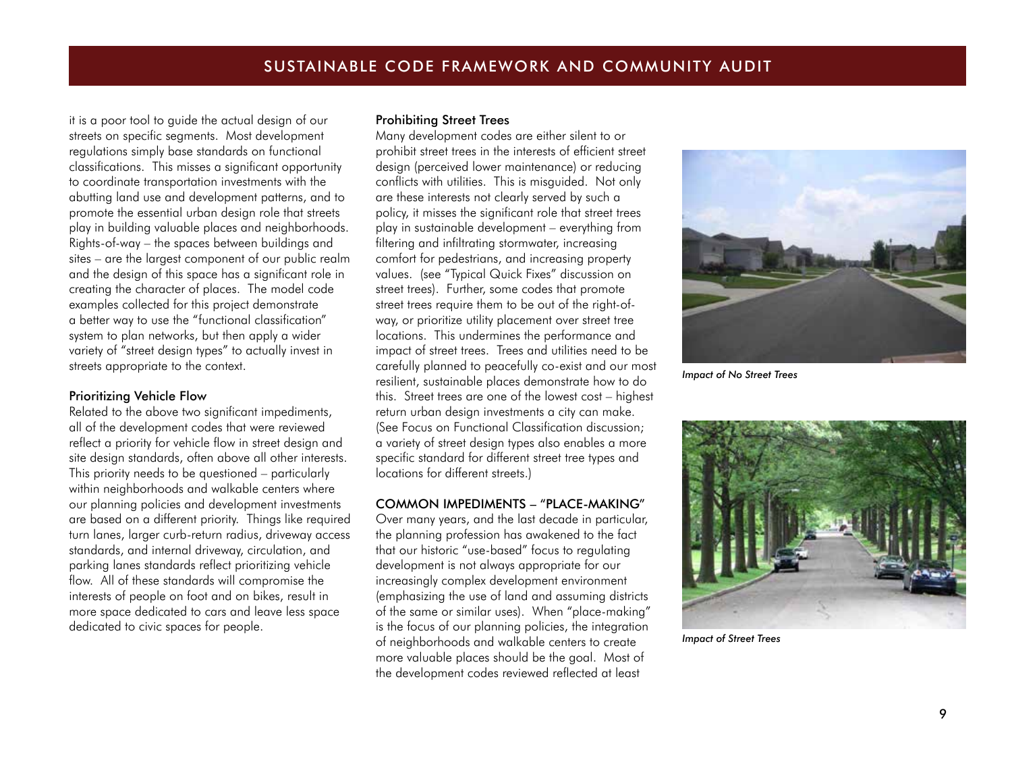it is a poor tool to guide the actual design of our streets on specific segments. Most development regulations simply base standards on functional classifications. This misses a significant opportunity to coordinate transportation investments with the abutting land use and development patterns, and to promote the essential urban design role that streets play in building valuable places and neighborhoods. Rights-of-way – the spaces between buildings and sites – are the largest component of our public realm and the design of this space has a significant role in creating the character of places. The model code examples collected for this project demonstrate a better way to use the "functional classification" system to plan networks, but then apply a wider variety of "street design types" to actually invest in streets appropriate to the context.

#### Prioritizing Vehicle Flow

Related to the above two significant impediments, all of the development codes that were reviewed reflect a priority for vehicle flow in street design and site design standards, often above all other interests. This priority needs to be questioned – particularly within neighborhoods and walkable centers where our planning policies and development investments are based on a different priority. Things like required turn lanes, larger curb-return radius, driveway access standards, and internal driveway, circulation, and parking lanes standards reflect prioritizing vehicle flow. All of these standards will compromise the interests of people on foot and on bikes, result in more space dedicated to cars and leave less space dedicated to civic spaces for people.

#### Prohibiting Street Trees

Many development codes are either silent to or prohibit street trees in the interests of efficient street design (perceived lower maintenance) or reducing conflicts with utilities. This is misguided. Not only are these interests not clearly served by such a policy, it misses the significant role that street trees play in sustainable development – everything from filtering and infiltrating stormwater, increasing comfort for pedestrians, and increasing property values. (see "Typical Quick Fixes" discussion on street trees). Further, some codes that promote street trees require them to be out of the right-ofway, or prioritize utility placement over street tree locations. This undermines the performance and impact of street trees. Trees and utilities need to be carefully planned to peacefully co-exist and our most resilient, sustainable places demonstrate how to do this. Street trees are one of the lowest cost – highest return urban design investments a city can make. (See Focus on Functional Classification discussion; a variety of street design types also enables a more specific standard for different street tree types and locations for different streets.)

#### COMMON IMPEDIMENTS – "PLACE-MAKING"

Over many years, and the last decade in particular, the planning profession has awakened to the fact that our historic "use-based" focus to regulating development is not always appropriate for our increasingly complex development environment (emphasizing the use of land and assuming districts of the same or similar uses). When "place-making" is the focus of our planning policies, the integration of neighborhoods and walkable centers to create more valuable places should be the goal. Most of the development codes reviewed reflected at least



*Impact of No Street Trees*



*Impact of Street Trees*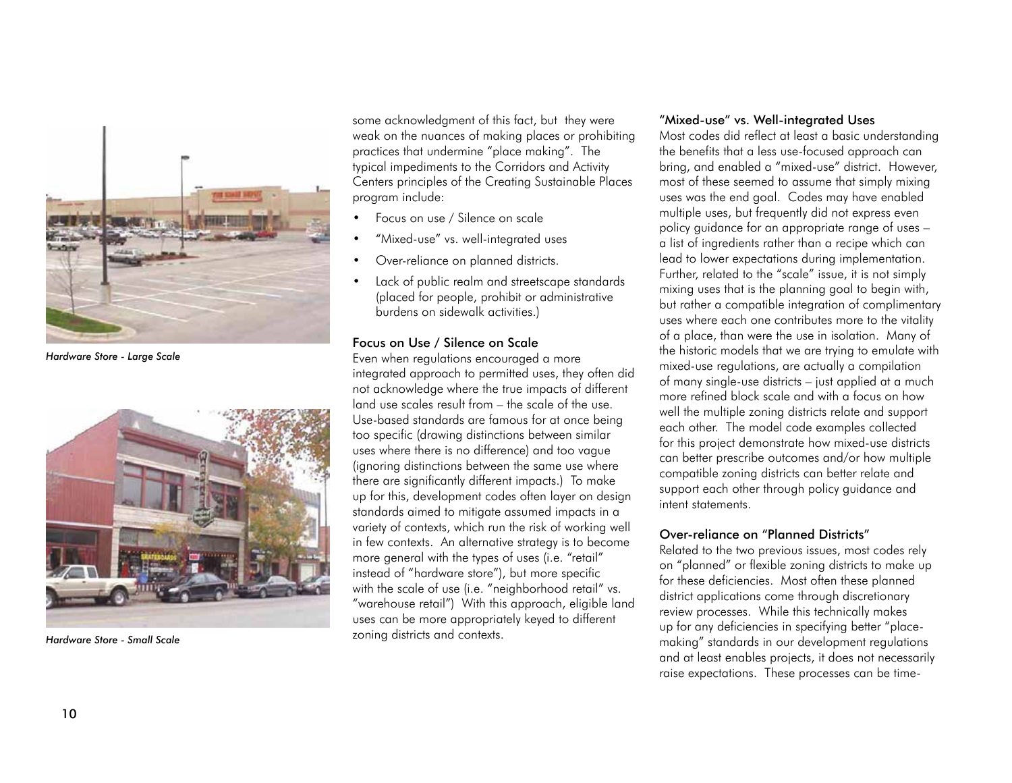

*Hardware Store - Large Scale*



*Hardware Store - Small Scale*

some acknowledgment of this fact, but they were weak on the nuances of making places or prohibiting practices that undermine "place making". The typical impediments to the Corridors and Activity Centers principles of the Creating Sustainable Places program include:

- Focus on use / Silence on scale
- "Mixed-use" vs. well-integrated uses
- Over-reliance on planned districts.
- Lack of public realm and streetscape standards (placed for people, prohibit or administrative burdens on sidewalk activities.)

#### Focus on Use / Silence on Scale

Even when regulations encouraged a more integrated approach to permitted uses, they often did not acknowledge where the true impacts of different land use scales result from – the scale of the use. Use-based standards are famous for at once being too specific (drawing distinctions between similar uses where there is no difference) and too vague (ignoring distinctions between the same use where there are significantly different impacts.) To make up for this, development codes often layer on design standards aimed to mitigate assumed impacts in a variety of contexts, which run the risk of working well in few contexts. An alternative strategy is to become more general with the types of uses (i.e. "retail" instead of "hardware store"), but more specific with the scale of use (i.e. "neighborhood retail" vs. "warehouse retail") With this approach, eligible land uses can be more appropriately keyed to different zoning districts and contexts.

#### "Mixed-use" vs. Well-integrated Uses

Most codes did reflect at least a basic understanding the benefits that a less use-focused approach can bring, and enabled a "mixed-use" district. However, most of these seemed to assume that simply mixing uses was the end goal. Codes may have enabled multiple uses, but frequently did not express even policy guidance for an appropriate range of uses – a list of ingredients rather than a recipe which can lead to lower expectations during implementation. Further, related to the "scale" issue, it is not simply mixing uses that is the planning goal to begin with, but rather a compatible integration of complimentary uses where each one contributes more to the vitality of a place, than were the use in isolation. Many of the historic models that we are trying to emulate with mixed-use regulations, are actually a compilation of many single-use districts – just applied at a much more refined block scale and with a focus on how well the multiple zoning districts relate and support each other. The model code examples collected for this project demonstrate how mixed-use districts can better prescribe outcomes and/or how multiple compatible zoning districts can better relate and support each other through policy guidance and intent statements.

#### Over-reliance on "Planned Districts"

Related to the two previous issues, most codes rely on "planned" or flexible zoning districts to make up for these deficiencies. Most often these planned district applications come through discretionary review processes. While this technically makes up for any deficiencies in specifying better "placemaking" standards in our development regulations and at least enables projects, it does not necessarily raise expectations. These processes can be time-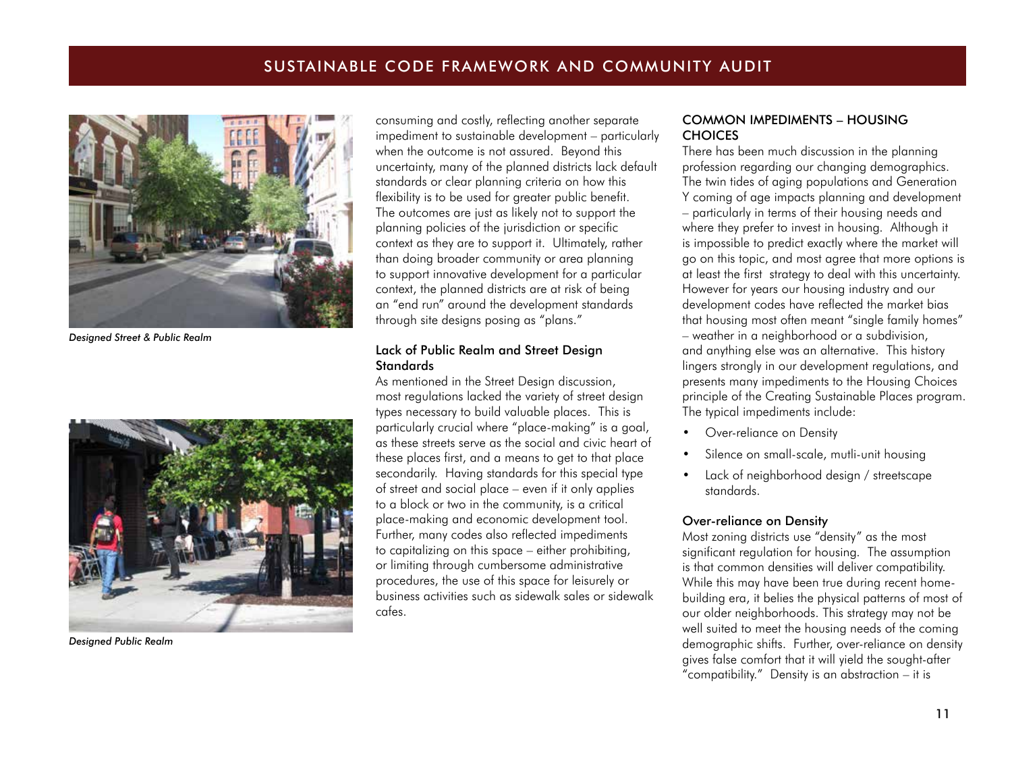# SUSTAINABLE CODE FRAMEWORK AND COMMUNITY AUDIT



*Designed Street & Public Realm*



*Designed Public Realm*

consuming and costly, reflecting another separate impediment to sustainable development – particularly when the outcome is not assured. Beyond this uncertainty, many of the planned districts lack default standards or clear planning criteria on how this flexibility is to be used for greater public benefit. The outcomes are just as likely not to support the planning policies of the jurisdiction or specific context as they are to support it. Ultimately, rather than doing broader community or area planning to support innovative development for a particular context, the planned districts are at risk of being an "end run" around the development standards through site designs posing as "plans."

#### Lack of Public Realm and Street Design **Standards**

As mentioned in the Street Design discussion, most regulations lacked the variety of street design types necessary to build valuable places. This is particularly crucial where "place-making" is a goal, as these streets serve as the social and civic heart of these places first, and a means to get to that place secondarily. Having standards for this special type of street and social place – even if it only applies to a block or two in the community, is a critical place-making and economic development tool. Further, many codes also reflected impediments to capitalizing on this space – either prohibiting, or limiting through cumbersome administrative procedures, the use of this space for leisurely or business activities such as sidewalk sales or sidewalk cafes.

#### COMMON IMPEDIMENTS – HOUSING **CHOICES**

There has been much discussion in the planning profession regarding our changing demographics. The twin tides of aging populations and Generation Y coming of age impacts planning and development – particularly in terms of their housing needs and where they prefer to invest in housing. Although it is impossible to predict exactly where the market will go on this topic, and most agree that more options is at least the first strategy to deal with this uncertainty. However for years our housing industry and our development codes have reflected the market bias that housing most often meant "single family homes" – weather in a neighborhood or a subdivision, and anything else was an alternative. This history lingers strongly in our development regulations, and presents many impediments to the Housing Choices principle of the Creating Sustainable Places program. The typical impediments include:

- Over-reliance on Density
- Silence on small-scale, mutli-unit housing
- Lack of neighborhood design / streetscape standards.

#### Over-reliance on Density

Most zoning districts use "density" as the most significant regulation for housing. The assumption is that common densities will deliver compatibility. While this may have been true during recent homebuilding era, it belies the physical patterns of most of our older neighborhoods. This strategy may not be well suited to meet the housing needs of the coming demographic shifts. Further, over-reliance on density gives false comfort that it will yield the sought-after "compatibility." Density is an abstraction – it is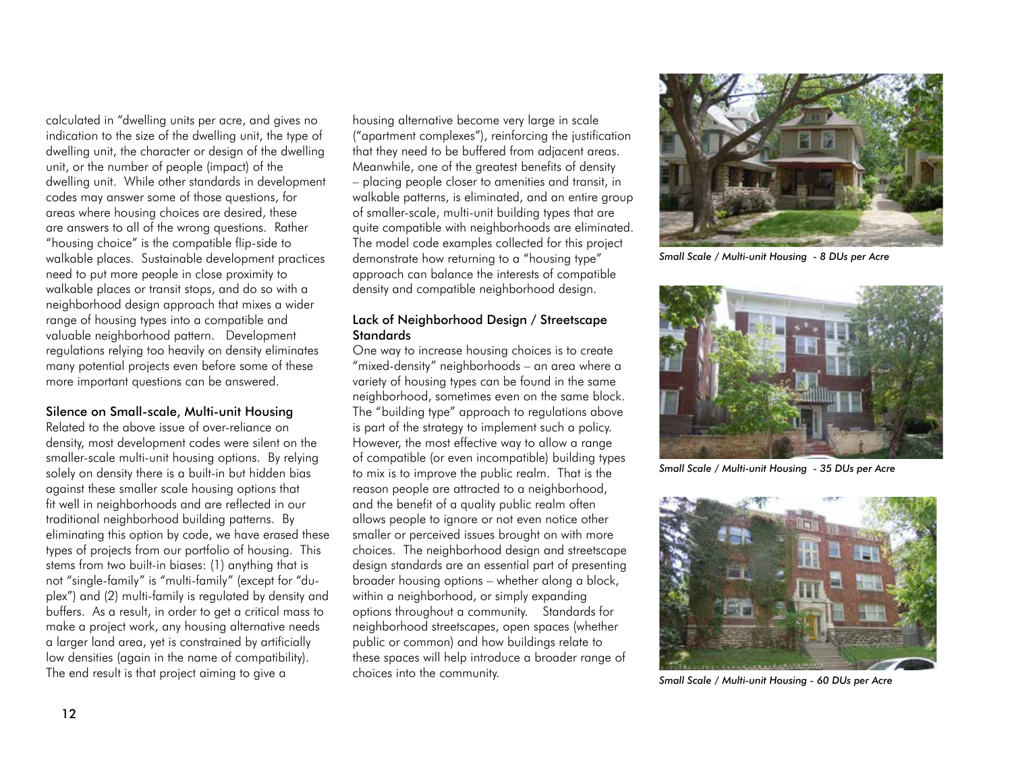calculated in "dwelling units per acre, and gives no indication to the size of the dwelling unit, the type of dwelling unit, the character or design of the dwelling unit, or the number of people (impact) of the dwelling unit. While other standards in development codes may answer some of those questions, for areas where housing choices are desired, these are answers to all of the wrong questions. Rather "housing choice" is the compatible flip-side to walkable places. Sustainable development practices need to put more people in close proximity to walkable places or transit stops, and do so with a neighborhood design approach that mixes a wider range of housing types into a compatible and valuable neighborhood pattern. Development regulations relying too heavily on density eliminates many potential projects even before some of these more important questions can be answered.

#### Silence on Small-scale, Multi-unit Housing

Related to the above issue of over-reliance on density, most development codes were silent on the smaller-scale multi-unit housing options. By relying solely on density there is a built-in but hidden bias against these smaller scale housing options that fit well in neighborhoods and are reflected in our traditional neighborhood building patterns. By eliminating this option by code, we have erased these types of projects from our portfolio of housing. This stems from two built-in biases: (1) anything that is not "single-family" is "multi-family" (except for "duplex") and (2) multi-family is regulated by density and buffers. As a result, in order to get a critical mass to make a project work, any housing alternative needs a larger land area, yet is constrained by artificially low densities (again in the name of compatibility). The end result is that project aiming to give a

housing alternative become very large in scale ("apartment complexes"), reinforcing the justification that they need to be buffered from adjacent areas. Meanwhile, one of the greatest benefits of density – placing people closer to amenities and transit, in walkable patterns, is eliminated, and an entire group of smaller-scale, multi-unit building types that are quite compatible with neighborhoods are eliminated. The model code examples collected for this project demonstrate how returning to a "housing type" approach can balance the interests of compatible density and compatible neighborhood design.

#### Lack of Neighborhood Design / Streetscape **Standards**

One way to increase housing choices is to create "mixed-density" neighborhoods – an area where a variety of housing types can be found in the same neighborhood, sometimes even on the same block. The "building type" approach to regulations above is part of the strategy to implement such a policy. However, the most effective way to allow a range of compatible (or even incompatible) building types to mix is to improve the public realm. That is the reason people are attracted to a neighborhood, and the benefit of a quality public realm often allows people to ignore or not even notice other smaller or perceived issues brought on with more choices. The neighborhood design and streetscape design standards are an essential part of presenting broader housing options – whether along a block, within a neighborhood, or simply expanding options throughout a community. Standards for neighborhood streetscapes, open spaces (whether public or common) and how buildings relate to these spaces will help introduce a broader range of choices into the community.



*Small Scale / Multi-unit Housing - 8 DUs per Acre*



*Small Scale / Multi-unit Housing - 35 DUs per Acre*



*Small Scale / Multi-unit Housing - 60 DUs per Acre*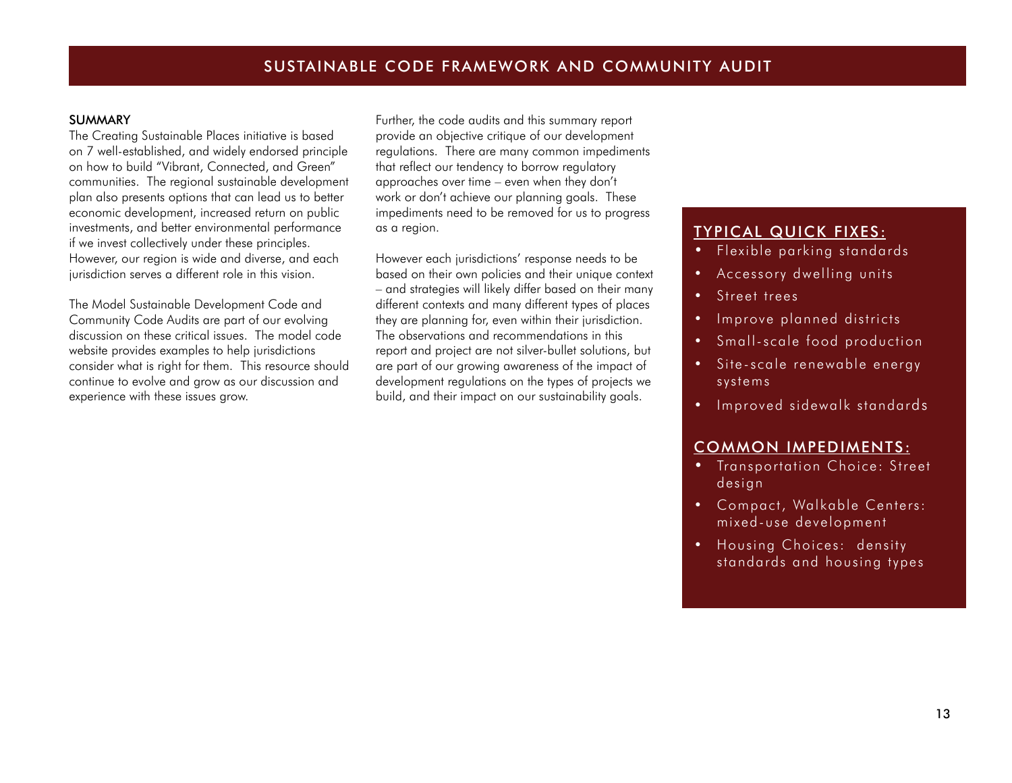#### SUMMARY

The Creating Sustainable Places initiative is based on 7 well-established, and widely endorsed principle on how to build "Vibrant, Connected, and Green" communities. The regional sustainable development plan also presents options that can lead us to better economic development, increased return on public investments, and better environmental performance if we invest collectively under these principles. However, our region is wide and diverse, and each jurisdiction serves a different role in this vision.

The Model Sustainable Development Code and Community Code Audits are part of our evolving discussion on these critical issues. The model code website provides examples to help jurisdictions consider what is right for them. This resource should continue to evolve and grow as our discussion and experience with these issues grow.

Further, the code audits and this summary report provide an objective critique of our development regulations. There are many common impediments that reflect our tendency to borrow regulatory approaches over time – even when they don't work or don't achieve our planning goals. These impediments need to be removed for us to progress as a region.

However each jurisdictions' response needs to be based on their own policies and their unique context – and strategies will likely differ based on their many different contexts and many different types of places they are planning for, even within their jurisdiction. The observations and recommendations in this report and project are not silver-bullet solutions, but are part of our growing awareness of the impact of development regulations on the types of projects we build, and their impact on our sustainability goals.

# TYPICAL QUICK FIXES:

- Flexible parking standards
- Accessory dwelling units
- Street trees
- Improve planned districts
- Small-scale food production
- Site-scale renewable energy systems
- Improved sidewalk standards

## COMMON IMPEDIMENTS:

- Transportation Choice: Street design
- Compact, Walkable Centers: mixed-use development
- Housing Choices: density standards and housing types